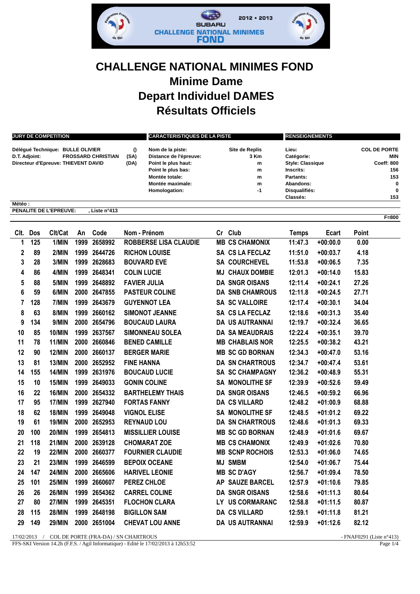

## **CHALLENGE NATIONAL MINIMES FOND Minime Dame Depart Individuel DAMES Résultats Officiels**

| <b>JURY DE COMPETITION</b>                 |      | <b>CARACTERISTIQUES DE LA PISTE</b> |                | <b>RENSEIGNEMENTS</b>   |                     |  |
|--------------------------------------------|------|-------------------------------------|----------------|-------------------------|---------------------|--|
| Délégué Technique: BULLE OLIVIER           | 0    | Nom de la piste:                    | Site de Replis | Lieu:                   | <b>COL DE PORTE</b> |  |
| <b>FROSSARD CHRISTIAN</b><br>D.T. Adjoint: | (SA) | Distance de l'épreuve:              | 3 Km           | Catégorie:              | <b>MIN</b>          |  |
| Directeur d'Epreuve: THIEVENT DAVID        | (DA) | Point le plus haut:                 | m              | <b>Style: Classique</b> | <b>Coeff: 800</b>   |  |
|                                            |      | Point le plus bas:                  | m              | Inscrits:               | 156                 |  |
|                                            |      | Montée totale:                      | m              | Partants:               | 153                 |  |
|                                            |      | Montée maximale:                    | m              | Abandons:               | $\mathbf 0$         |  |
|                                            |      | Homologation:                       | -1             | Disqualifiés:           | $\bf{0}$            |  |
|                                            |      |                                     |                | Classés:                | 153                 |  |
| Météo:                                     |      |                                     |                |                         |                     |  |

**PENALITE DE L'EPREUVE: , Liste n°413**

|    | Clt. Dos | Clt/Cat       | An   | Code         | Nom - Prénom                 | Cr Club                | <b>Temps</b> | Ecart      | <b>Point</b> |
|----|----------|---------------|------|--------------|------------------------------|------------------------|--------------|------------|--------------|
| 1  | 125      | 1/MIN         | 1999 | 2658992      | <b>ROBBERSE LISA CLAUDIE</b> | <b>MB CS CHAMONIX</b>  | 11:47.3      | $+00:00.0$ | 0.00         |
| 2  | 89       | 2/MIN         |      | 1999 2644726 | <b>RICHON LOUISE</b>         | SA CS LA FECLAZ        | 11:51.0      | $+00:03.7$ | 4.18         |
| 3  | 28       | 3/MIN         |      | 1999 2628683 | <b>BOUVARD EVE</b>           | <b>SA COURCHEVEL</b>   | 11:53.8      | $+00:06.5$ | 7.35         |
| 4  | 86       | 4/MIN         |      | 1999 2648341 | <b>COLIN LUCIE</b>           | <b>MJ CHAUX DOMBIE</b> | 12:01.3      | $+00:14.0$ | 15.83        |
| 5  | 88       | 5/MIN         |      | 1999 2648892 | <b>FAVIER JULIA</b>          | <b>DA SNGR OISANS</b>  | 12:11.4      | $+00:24.1$ | 27.26        |
| 6  | 59       | 6/MIN         |      | 2000 2647855 | <b>PASTEUR COLINE</b>        | <b>DA SNB CHAMROUS</b> | 12:11.8      | $+00:24.5$ | 27.71        |
| 7  | 128      | 7/MIN         |      | 1999 2643679 | <b>GUYENNOT LEA</b>          | <b>SA SC VALLOIRE</b>  | 12:17.4      | $+00:30.1$ | 34.04        |
| 8  | 63       | 8/MIN         |      | 1999 2660162 | <b>SIMONOT JEANNE</b>        | SA CS LA FECLAZ        | 12:18.6      | $+00:31.3$ | 35.40        |
| 9  | 134      | 9/MIN         |      | 2000 2654796 | <b>BOUCAUD LAURA</b>         | <b>DA US AUTRANNAI</b> | 12:19.7      | $+00:32.4$ | 36.65        |
| 10 | 85       | <b>10/MIN</b> |      | 1999 2637567 | <b>SIMONNEAU SOLEA</b>       | <b>DA SA MEAUDRAIS</b> | 12:22.4      | $+00:35.1$ | 39.70        |
| 11 | 78       | <b>11/MIN</b> |      | 2000 2660846 | <b>BENED CAMILLE</b>         | <b>MB CHABLAIS NOR</b> | 12:25.5      | $+00:38.2$ | 43.21        |
| 12 | 90       | <b>12/MIN</b> |      | 2000 2660137 | <b>BERGER MARIE</b>          | <b>MB SC GD BORNAN</b> | 12:34.3      | $+00:47.0$ | 53.16        |
| 13 | 81       | <b>13/MIN</b> |      | 2000 2652952 | <b>FINE HANNA</b>            | <b>DA SN CHARTROUS</b> | 12:34.7      | $+00:47.4$ | 53.61        |
| 14 | 155      | <b>14/MIN</b> |      | 1999 2631976 | <b>BOUCAUD LUCIE</b>         | <b>SA SC CHAMPAGNY</b> | 12:36.2      | $+00:48.9$ | 55.31        |
| 15 | 10       | <b>15/MIN</b> |      | 1999 2649033 | <b>GONIN COLINE</b>          | <b>SA MONOLITHE SF</b> | 12:39.9      | $+00:52.6$ | 59.49        |
| 16 | 22       | <b>16/MIN</b> |      | 2000 2654332 | <b>BARTHELEMY THAIS</b>      | <b>DA SNGR OISANS</b>  | 12:46.5      | $+00:59.2$ | 66.96        |
| 17 | 95       | 17/MIN        |      | 1999 2627940 | <b>FORTAS FANNY</b>          | <b>DA CS VILLARD</b>   | 12:48.2      | $+01:00.9$ | 68.88        |
| 18 | 62       | <b>18/MIN</b> |      | 1999 2649048 | <b>VIGNOL ELISE</b>          | SA MONOLITHE SF        | 12:48.5      | $+01:01.2$ | 69.22        |
| 19 | 61       | <b>19/MIN</b> |      | 2000 2652953 | <b>REYNAUD LOU</b>           | <b>DA SN CHARTROUS</b> | 12:48.6      | $+01:01.3$ | 69.33        |
| 20 | 100      | <b>20/MIN</b> |      | 1999 2654813 | <b>MISSILLIER LOUISE</b>     | <b>MB SC GD BORNAN</b> | 12:48.9      | $+01:01.6$ | 69.67        |
| 21 | 118      | <b>21/MIN</b> |      | 2000 2639128 | <b>CHOMARAT ZOE</b>          | <b>MB CS CHAMONIX</b>  | 12:49.9      | $+01:02.6$ | 70.80        |
| 22 | 19       | <b>22/MIN</b> |      | 2000 2660377 | <b>FOURNIER CLAUDIE</b>      | <b>MB SCNP ROCHOIS</b> | 12:53.3      | $+01:06.0$ | 74.65        |
| 23 | 21       | <b>23/MIN</b> |      | 1999 2646599 | <b>BEPOIX OCEANE</b>         | <b>MJ SMBM</b>         | 12:54.0      | $+01:06.7$ | 75.44        |
| 24 | 147      | <b>24/MIN</b> |      | 2000 2665606 | <b>HARIVEL LEONIE</b>        | <b>MB SC D'AGY</b>     | 12:56.7      | $+01:09.4$ | 78.50        |
| 25 | 101      | <b>25/MIN</b> | 1999 | 2660607      | PEREZ CHLOE                  | AP SAUZE BARCEL        | 12:57.9      | $+01:10.6$ | 79.85        |
| 26 | 26       | <b>26/MIN</b> |      | 1999 2654362 | <b>CARREL COLINE</b>         | <b>DA SNGR OISANS</b>  | 12:58.6      | $+01:11.3$ | 80.64        |
| 27 | 80       | <b>27/MIN</b> |      | 1999 2645351 | <b>FLOCHON CLARA</b>         | LY US CORMARANC        | 12:58.8      | $+01:11.5$ | 80.87        |
| 28 | 115      | <b>28/MIN</b> |      | 1999 2648198 | <b>BIGILLON SAM</b>          | <b>DA CS VILLARD</b>   | 12:59.1      | $+01:11.8$ | 81.21        |
| 29 | 149      | <b>29/MIN</b> |      | 2000 2651004 | <b>CHEVAT LOU ANNE</b>       | <b>DA US AUTRANNAI</b> | 12:59.9      | $+01:12.6$ | 82.12        |

17/02/2013 / COL DE PORTE (FRA-DA) / SN CHARTROUS - FNAF0291 (Liste n°413)

FFS-SKI Version 14.2h (F.F.S. / Agil Informatique) - Edité le 17/02/2013 à 12h53:52 Page 1/4

**F=800**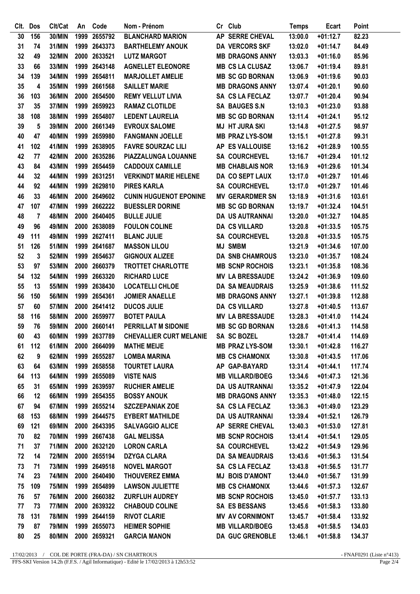| CIt.   | <b>Dos</b>   | Clt/Cat       | An | Code         | Nom - Prénom                   | Cr Club                | <b>Temps</b> | Ecart      | Point  |
|--------|--------------|---------------|----|--------------|--------------------------------|------------------------|--------------|------------|--------|
| 30     | 156          | 30/MIN        |    | 1999 2655792 | <b>BLANCHARD MARION</b>        | AP SERRE CHEVAL        | 13:00.0      | $+01:12.7$ | 82.23  |
| 31     | 74           | 31/MIN        |    | 1999 2643373 | <b>BARTHELEMY ANOUK</b>        | <b>DA VERCORS SKF</b>  | 13:02.0      | $+01:14.7$ | 84.49  |
| 32     | 49           | 32/MIN        |    | 2000 2633521 | <b>LUTZ MARGOT</b>             | <b>MB DRAGONS ANNY</b> | 13:03.3      | $+01:16.0$ | 85.96  |
| 33     | 66           | 33/MIN        |    | 1999 2643148 | <b>AGNELLET ELEONORE</b>       | <b>MB CS LA CLUSAZ</b> | 13:06.7      | $+01:19.4$ | 89.81  |
| 34     | 139          | 34/MIN        |    | 1999 2654811 | <b>MARJOLLET AMELIE</b>        | <b>MB SC GD BORNAN</b> | 13:06.9      | $+01:19.6$ | 90.03  |
| $35\,$ | 4            | 35/MIN        |    | 1999 2661568 | <b>SAILLET MARIE</b>           | <b>MB DRAGONS ANNY</b> | 13:07.4      | $+01:20.1$ | 90.60  |
| 36     | 103          | 36/MIN        |    | 2000 2654500 | <b>REMY VELLUT LIVIA</b>       | SA CS LA FECLAZ        | 13:07.7      | $+01:20.4$ | 90.94  |
| 37     | 35           | 37/MIN        |    | 1999 2659923 | <b>RAMAZ CLOTILDE</b>          | <b>SA BAUGES S.N</b>   | 13:10.3      | $+01:23.0$ | 93.88  |
| 38     | 108          | <b>38/MIN</b> |    | 1999 2654807 | <b>LEDENT LAURELIA</b>         | <b>MB SC GD BORNAN</b> | 13:11.4      | $+01:24.1$ | 95.12  |
| 39     | 5            | 39/MIN        |    | 2000 2661349 | <b>EVROUX SALOME</b>           | <b>MJ HT JURA SKI</b>  | 13:14.8      | $+01:27.5$ | 98.97  |
| 40     | 47           | <b>40/MIN</b> |    | 1999 2659980 | <b>FANGMANN JOELLE</b>         | <b>MB PRAZ LYS-SOM</b> | 13:15.1      | $+01:27.8$ | 99.31  |
| 41     | 102          | 41/MIN        |    | 1999 2638905 | <b>FAVRE SOURZAC LILI</b>      | AP ES VALLOUISE        | 13:16.2      | $+01:28.9$ | 100.55 |
| 42     | 77           | <b>42/MIN</b> |    | 2000 2635286 | PIAZZALUNGA LOUANNE            | <b>SA COURCHEVEL</b>   | 13:16.7      | $+01:29.4$ | 101.12 |
| 43     | 84           | 43/MIN        |    | 1999 2654459 | <b>CADDOUX CAMILLE</b>         | <b>MB CHABLAIS NOR</b> | 13:16.9      | $+01:29.6$ | 101.34 |
| 44     | 32           | 44/MIN        |    | 1999 2631251 | <b>VERKINDT MARIE HELENE</b>   | <b>DA CO SEPT LAUX</b> | 13:17.0      | $+01:29.7$ | 101.46 |
| 44     | 92           | 44/MIN        |    | 1999 2629810 | <b>PIRES KARLA</b>             | <b>SA COURCHEVEL</b>   | 13:17.0      | $+01:29.7$ | 101.46 |
| 46     | 33           | 46/MIN        |    | 2000 2649602 | <b>CUNIN HUGUENOT EPONINE</b>  | <b>MV GERARDMER SN</b> | 13:18.9      | $+01:31.6$ | 103.61 |
| 47     | 107          | 47/MIN        |    | 1999 2662222 | <b>BUESSLER DORINE</b>         | <b>MB SC GD BORNAN</b> | 13:19.7      | $+01:32.4$ | 104.51 |
| 48     | 7            | <b>48/MIN</b> |    | 2000 2640405 | <b>BULLE JULIE</b>             | DA US AUTRANNAI        | 13:20.0      | $+01:32.7$ | 104.85 |
| 49     | 96           | 49/MIN        |    | 2000 2638089 | <b>FOULON COLINE</b>           | <b>DA CS VILLARD</b>   | 13:20.8      | $+01:33.5$ | 105.75 |
| 49     | 111          | 49/MIN        |    | 1999 2627411 | <b>BLANC JULIE</b>             | <b>SA COURCHEVEL</b>   | 13:20.8      | $+01:33.5$ | 105.75 |
| 51     | 126          | 51/MIN        |    | 1999 2641687 | <b>MASSON LILOU</b>            | <b>MJ SMBM</b>         | 13:21.9      | $+01:34.6$ | 107.00 |
| 52     | $\mathbf{3}$ | 52/MIN        |    | 1999 2654637 | <b>GIGNOUX ALIZEE</b>          | <b>DA SNB CHAMROUS</b> | 13:23.0      | $+01:35.7$ | 108.24 |
| 53     | 97           | 53/MIN        |    | 2000 2660379 | <b>TROTTET CHARLOTTE</b>       | <b>MB SCNP ROCHOIS</b> | 13:23.1      | $+01:35.8$ | 108.36 |
| 54     | 132          | 54/MIN        |    | 1999 2663320 | <b>RICHARD LUCE</b>            | <b>MV LA BRESSAUDE</b> | 13:24.2      | $+01:36.9$ | 109.60 |
| 55     | 13           | 55/MIN        |    | 1999 2638430 | <b>LOCATELLI CHLOE</b>         | <b>DA SA MEAUDRAIS</b> | 13:25.9      | $+01:38.6$ | 111.52 |
| 56     | 150          | 56/MIN        |    | 1999 2654361 | <b>JOMIER ANAELLE</b>          | <b>MB DRAGONS ANNY</b> | 13:27.1      | $+01:39.8$ | 112.88 |
| 57     | 60           | 57/MIN        |    | 2000 2641412 | <b>DUCOS JULIE</b>             | <b>DA CS VILLARD</b>   | 13:27.8      | $+01:40.5$ | 113.67 |
| 58     | 116          | 58/MIN        |    | 2000 2659977 | <b>BOTET PAULA</b>             | <b>MV LA BRESSAUDE</b> | 13:28.3      | $+01:41.0$ | 114.24 |
| 59     | 76           | 59/MIN        |    | 2000 2660141 | PERRILLAT M SIDONIE            | <b>MB SC GD BORNAN</b> | 13:28.6      | $+01:41.3$ | 114.58 |
| 60     | 43           | 60/MIN        |    | 1999 2637789 | <b>CHEVALLIER CURT MELANIE</b> | SA SC BOZEL            | 13:28.7      | $+01:41.4$ | 114.69 |
| 61     | 112          | 61/MIN        |    | 2000 2664099 | <b>MATHE MEIJE</b>             | <b>MB PRAZ LYS-SOM</b> | 13:30.1      | $+01:42.8$ | 116.27 |
| 62     | 9            | 62/MIN        |    | 1999 2655287 | <b>LOMBA MARINA</b>            | <b>MB CS CHAMONIX</b>  | 13:30.8      | $+01:43.5$ | 117.06 |
| 63     | 64           | 63/MIN        |    | 1999 2658558 | <b>TOURTET LAURA</b>           | AP GAP-BAYARD          | 13:31.4      | $+01:44.1$ | 117.74 |
| 64     | 113          | 64/MIN        |    | 1999 2655089 | <b>VISTE NAIS</b>              | <b>MB VILLARD/BOEG</b> | 13:34.6      | $+01:47.3$ | 121.36 |
| 65     | 31           | 65/MIN        |    | 1999 2639597 | <b>RUCHIER AMELIE</b>          | <b>DA US AUTRANNAI</b> | 13:35.2      | $+01:47.9$ | 122.04 |
| 66     | 12           | 66/MIN        |    | 1999 2654355 | <b>BOSSY ANOUK</b>             | <b>MB DRAGONS ANNY</b> | 13:35.3      | $+01:48.0$ | 122.15 |
| 67     | 94           | 67/MIN        |    | 1999 2655214 | <b>SZCZEPANIAK ZOE</b>         | SA CS LA FECLAZ        | 13:36.3      | $+01:49.0$ | 123.29 |
| 68     | 153          | 68/MIN        |    | 1999 2644575 | <b>EYBERT MATHILDE</b>         | DA US AUTRANNAI        | 13:39.4      | $+01:52.1$ | 126.79 |
| 69     | 121          | 69/MIN        |    | 2000 2643395 | <b>SALVAGGIO ALICE</b>         | AP SERRE CHEVAL        | 13:40.3      | $+01:53.0$ | 127.81 |
| 70     | 82           | <b>70/MIN</b> |    | 1999 2667438 | <b>GAL MELISSA</b>             | <b>MB SCNP ROCHOIS</b> | 13:41.4      | $+01:54.1$ | 129.05 |
| 71     | 37           | 71/MIN        |    | 2000 2632120 | <b>LORON CARLA</b>             | <b>SA COURCHEVEL</b>   | 13:42.2      | $+01:54.9$ | 129.96 |
| 72     | 14           | <b>72/MIN</b> |    | 2000 2655194 | <b>DZYGA CLARA</b>             | <b>DA SA MEAUDRAIS</b> | 13:43.6      | $+01:56.3$ | 131.54 |
| 73     | 71           | <b>73/MIN</b> |    | 1999 2649518 | <b>NOVEL MARGOT</b>            | SA CS LA FECLAZ        | 13:43.8      | $+01:56.5$ | 131.77 |
| 74     | 23           | <b>74/MIN</b> |    | 2000 2640490 | <b>THOUVEREZ EMMA</b>          | <b>MJ BOIS D'AMONT</b> | 13:44.0      | $+01:56.7$ | 131.99 |
| 75     | 109          | <b>75/MIN</b> |    | 1999 2654899 | <b>LAWSON JULIETTE</b>         | <b>MB CS CHAMONIX</b>  | 13:44.6      | $+01:57.3$ | 132.67 |
| 76     | 57           | <b>76/MIN</b> |    | 2000 2660382 | <b>ZURFLUH AUDREY</b>          | <b>MB SCNP ROCHOIS</b> | 13:45.0      | $+01:57.7$ | 133.13 |
| 77     | 73           | 77/MIN        |    | 2000 2639322 | <b>CHABOUD COLINE</b>          | <b>SA ES BESSANS</b>   | 13:45.6      | $+01:58.3$ | 133.80 |
| 78     | 131          | <b>78/MIN</b> |    | 1999 2644159 | <b>RIVOT CLARIE</b>            | <b>MV AV CORNIMONT</b> | 13:45.7      | $+01:58.4$ | 133.92 |
| 79     | 87           | <b>79/MIN</b> |    | 1999 2655073 | <b>HEIMER SOPHIE</b>           | <b>MB VILLARD/BOEG</b> | 13:45.8      | $+01:58.5$ | 134.03 |
| 80     | 25           | 80/MIN        |    | 2000 2659321 | <b>GARCIA MANON</b>            | <b>DA GUC GRENOBLE</b> | 13:46.1      | $+01:58.8$ | 134.37 |

 $17/02/2013$  / COL DE PORTE (FRA-DA) / SN CHARTROUS<br>FFS-SKI Version 14.2h (F.F.S. / Agil Informatique) - Edité le 17/02/2013 à 12h53:52

- FNAF0291 (Liste n°413)<br>Page  $2/4$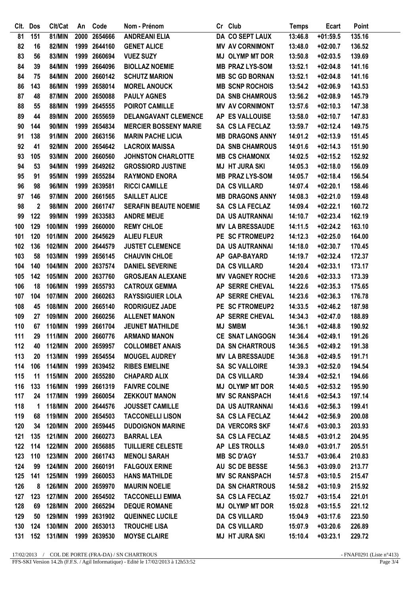|     | Clt. Dos    | Clt/Cat        | An   | Code         | Nom - Prénom                 | Cr Club                | <b>Temps</b> | Ecart      | Point  |
|-----|-------------|----------------|------|--------------|------------------------------|------------------------|--------------|------------|--------|
| 81  | 151         | 81/MIN         | 2000 | 2654666      | <b>ANDREANI ELIA</b>         | <b>DA CO SEPT LAUX</b> | 13:46.8      | $+01:59.5$ | 135.16 |
| 82  | 16          | 82/MIN         |      | 1999 2644160 | <b>GENET ALICE</b>           | <b>MV AV CORNIMONT</b> | 13:48.0      | $+02:00.7$ | 136.52 |
| 83  | 56          | 83/MIN         |      | 1999 2660694 | <b>VUEZ SUZY</b>             | <b>MJ OLYMP MT DOR</b> | 13:50.8      | $+02:03.5$ | 139.69 |
| 84  | 39          | <b>84/MIN</b>  |      | 1999 2664096 | <b>BIOLLAZ NOEMIE</b>        | <b>MB PRAZ LYS-SOM</b> | 13:52.1      | $+02:04.8$ | 141.16 |
| 84  | 75          | <b>84/MIN</b>  |      | 2000 2660142 | <b>SCHUTZ MARION</b>         | <b>MB SC GD BORNAN</b> | 13:52.1      | $+02:04.8$ | 141.16 |
| 86  | 143         | <b>86/MIN</b>  |      | 1999 2658014 | <b>MOREL ANOUCK</b>          | <b>MB SCNP ROCHOIS</b> | 13:54.2      | $+02:06.9$ | 143.53 |
| 87  | 48          | <b>87/MIN</b>  |      | 2000 2650088 | <b>PAULY AGNES</b>           | DA SNB CHAMROUS        | 13:56.2      | $+02:08.9$ | 145.79 |
| 88  | 55          | <b>88/MIN</b>  |      | 1999 2645555 | <b>POIROT CAMILLE</b>        | <b>MV AV CORNIMONT</b> | 13:57.6      | $+02:10.3$ | 147.38 |
| 89  | 44          | 89/MIN         |      | 2000 2655659 | <b>DELANGAVANT CLEMENCE</b>  | AP ES VALLOUISE        | 13:58.0      | $+02:10.7$ | 147.83 |
| 90  | 144         | 90/MIN         |      | 1999 2654834 | <b>MERCIER BOSSENY MARIE</b> | SA CS LA FECLAZ        | 13:59.7      | $+02:12.4$ | 149.75 |
| 91  | 138         | 91/MIN         |      | 2000 2663156 | <b>MARIN PACHE LICIA</b>     | <b>MB DRAGONS ANNY</b> | 14:01.2      | $+02:13.9$ | 151.45 |
| 92  | 41          | 92/MIN         |      | 2000 2654642 | <b>LACROIX MAISSA</b>        | <b>DA SNB CHAMROUS</b> | 14:01.6      | $+02:14.3$ | 151.90 |
| 93  | 105         | 93/MIN         |      | 2000 2660560 | <b>JOHNSTON CHARLOTTE</b>    | <b>MB CS CHAMONIX</b>  | 14:02.5      | $+02:15.2$ | 152.92 |
| 94  | 53          | 94/MIN         |      | 1999 2649262 | <b>GROSSIORD JUSTINE</b>     | <b>MJ HT JURA SKI</b>  | 14:05.3      | $+02:18.0$ | 156.09 |
| 95  | 91          | 95/MIN         |      | 1999 2655284 | <b>RAYMOND ENORA</b>         | <b>MB PRAZ LYS-SOM</b> | 14:05.7      | $+02:18.4$ | 156.54 |
| 96  | 98          | 96/MIN         |      | 1999 2639581 | <b>RICCI CAMILLE</b>         | <b>DA CS VILLARD</b>   | 14:07.4      | $+02:20.1$ | 158.46 |
| 97  | 146         | 97/MIN         |      | 2000 2661565 | <b>SAILLET ALICE</b>         | <b>MB DRAGONS ANNY</b> | 14:08.3      | $+02:21.0$ | 159.48 |
| 98  | $\mathbf 2$ | 98/MIN         |      | 2000 2661747 | <b>SERAFIN BEAUTE NOEMIE</b> | SA CS LA FECLAZ        | 14:09.4      | $+02:22.1$ | 160.72 |
| 99  | 122         | 99/MIN         |      | 1999 2633583 | <b>ANDRE MEIJE</b>           | <b>DA US AUTRANNAI</b> | 14:10.7      | $+02:23.4$ | 162.19 |
| 100 | 129         | 100/MIN        |      | 1999 2660000 | <b>REMY CHLOE</b>            | <b>MV LA BRESSAUDE</b> | 14:11.5      | $+02:24.2$ | 163.10 |
| 101 | 120         | 101/MIN        |      | 2000 2645629 | <b>ALIEU FLEUR</b>           | PE SC FTROMEUP2        | 14:12.3      | $+02:25.0$ | 164.00 |
| 102 | 136         | 102/MIN        |      | 2000 2644579 | <b>JUSTET CLEMENCE</b>       | <b>DA US AUTRANNAI</b> | 14:18.0      | $+02:30.7$ | 170.45 |
| 103 | 58          | 103/MIN        |      | 1999 2656145 | <b>CHAUVIN CHLOE</b>         | AP GAP-BAYARD          | 14:19.7      | $+02:32.4$ | 172.37 |
| 104 | 140         | 104/MIN        |      | 2000 2637574 | <b>DANIEL SEVERINE</b>       | <b>DA CS VILLARD</b>   | 14:20.4      | $+02:33.1$ | 173.17 |
| 105 | 142         | 105/MIN        |      | 2000 2637760 | <b>GROSJEAN ALEXANE</b>      | <b>MV VAGNEY ROCHE</b> | 14:20.6      | $+02:33.3$ | 173.39 |
| 106 | 18          | 106/MIN        |      | 1999 2655793 | <b>CATROUX GEMMA</b>         | AP SERRE CHEVAL        | 14:22.6      | $+02:35.3$ | 175.65 |
| 107 | 104         | 107/MIN        |      | 2000 2660263 | <b>RAYSSIGUIER LOLA</b>      | AP SERRE CHEVAL        | 14:23.6      | $+02:36.3$ | 176.78 |
| 108 | 45          | 108/MIN        |      | 2000 2665140 | <b>RODRIGUEZ JADE</b>        | PE SC FTROMEUP2        | 14:33.5      | $+02:46.2$ | 187.98 |
| 109 | 27          | 109/MIN        |      | 2000 2660256 | <b>ALLENET MANON</b>         | AP SERRE CHEVAL        | 14:34.3      | $+02:47.0$ | 188.89 |
| 110 | 67          | 110/MIN        |      | 1999 2661704 | <b>JEUNET MATHILDE</b>       | <b>MJ SMBM</b>         | 14:36.1      | $+02:48.8$ | 190.92 |
| 111 | 29          | <b>111/MIN</b> |      | 2000 2660776 | <b>ARMAND MANON</b>          | CE SNAT LANGOGN        | 14:36.4      | $+02:49.1$ | 191.26 |
| 112 | 40          | <b>112/MIN</b> |      | 2000 2659957 | <b>COLLOMBET ANAIS</b>       | <b>DA SN CHARTROUS</b> | 14:36.5      | $+02:49.2$ | 191.38 |
| 113 | 20          | 113/MIN        |      | 1999 2654554 | <b>MOUGEL AUDREY</b>         | <b>MV LA BRESSAUDE</b> | 14:36.8      | $+02:49.5$ | 191.71 |
| 114 | 106         | <b>114/MIN</b> |      | 1999 2639452 | <b>RIBES EMELINE</b>         | <b>SA SC VALLOIRE</b>  | 14:39.3      | $+02:52.0$ | 194.54 |
| 115 | 11          | <b>115/MIN</b> |      | 2000 2655280 | <b>CHAPARD ALIX</b>          | <b>DA CS VILLARD</b>   | 14:39.4      | $+02:52.1$ | 194.66 |
| 116 | 133         | 116/MIN        |      | 1999 2661319 | <b>FAIVRE COLINE</b>         | <b>MJ OLYMP MT DOR</b> | 14:40.5      | $+02:53.2$ | 195.90 |
| 117 | 24          | <b>117/MIN</b> |      | 1999 2660054 | <b>ZEKKOUT MANON</b>         | <b>MV SC RANSPACH</b>  | 14:41.6      | $+02:54.3$ | 197.14 |
| 118 | 1           | <b>118/MIN</b> |      | 2000 2644576 | <b>JOUSSET CAMILLE</b>       | DA US AUTRANNAI        | 14:43.6      | $+02:56.3$ | 199.41 |
| 119 | 68          | <b>119/MIN</b> |      | 2000 2654503 | <b>TACCONELLI LISON</b>      | SA CS LA FECLAZ        | 14:44.2      | $+02:56.9$ | 200.08 |
| 120 | 34          | <b>120/MIN</b> |      | 2000 2659445 | <b>DUDOIGNON MARINE</b>      | DA VERCORS SKF         | 14:47.6      | $+03:00.3$ | 203.93 |
| 121 | 135         | <b>121/MIN</b> |      | 2000 2660273 | <b>BARRAL LEA</b>            | SA CS LA FECLAZ        | 14:48.5      | $+03:01.2$ | 204.95 |
| 122 | 114         | <b>122/MIN</b> |      | 2000 2656885 | <b>TUILLIERE CELESTE</b>     | AP LES TROLLS          | 14:49.0      | $+03:01.7$ | 205.51 |
| 123 | 110         | <b>123/MIN</b> |      | 2000 2661743 | <b>MENOLI SARAH</b>          | <b>MB SC D'AGY</b>     | 14:53.7      | $+03:06.4$ | 210.83 |
| 124 | 99          | <b>124/MIN</b> |      | 2000 2660191 | <b>FALGOUX ERINE</b>         | AU SC DE BESSE         | 14:56.3      | $+03:09.0$ | 213.77 |
| 125 | 141         | <b>125/MIN</b> |      | 1999 2660053 | <b>HANS MATHILDE</b>         | <b>MV SC RANSPACH</b>  | 14:57.8      | $+03:10.5$ | 215.47 |
| 126 | 8           | 126/MIN        |      | 2000 2659970 | <b>MAURIN NOELIE</b>         | <b>DA SN CHARTROUS</b> | 14:58.2      | $+03:10.9$ | 215.92 |
| 127 | 123         | <b>127/MIN</b> |      | 2000 2654502 | <b>TACCONELLI EMMA</b>       | SA CS LA FECLAZ        | 15:02.7      | $+03:15.4$ | 221.01 |
| 128 | 69          | <b>128/MIN</b> |      | 2000 2665294 | <b>DEQUE ROMANE</b>          | <b>MJ OLYMP MT DOR</b> | 15:02.8      | $+03:15.5$ | 221.12 |
| 129 | 50          | 129/MIN        |      | 1999 2631902 | <b>QUEINNEC LUCILE</b>       | <b>DA CS VILLARD</b>   | 15:04.9      | $+03:17.6$ | 223.50 |
| 130 | 124         | 130/MIN        |      | 2000 2653013 | <b>TROUCHE LISA</b>          | <b>DA CS VILLARD</b>   | 15:07.9      | $+03:20.6$ | 226.89 |
| 131 | 152         | 131/MIN        |      | 1999 2639530 | <b>MOYSE CLAIRE</b>          | <b>MJ HT JURA SKI</b>  | 15:10.4      | $+03:23.1$ | 229.72 |
|     |             |                |      |              |                              |                        |              |            |        |

 $17/02/2013$  / COL DE PORTE (FRA-DA) / SN CHARTROUS FFS-SKI Version 14.2h (F.F.S. / Agil Informatique) - Edité le 17/02/2013 à 12h53:52

- FNAF0291 (Liste n°413)<br>Page  $3/4$